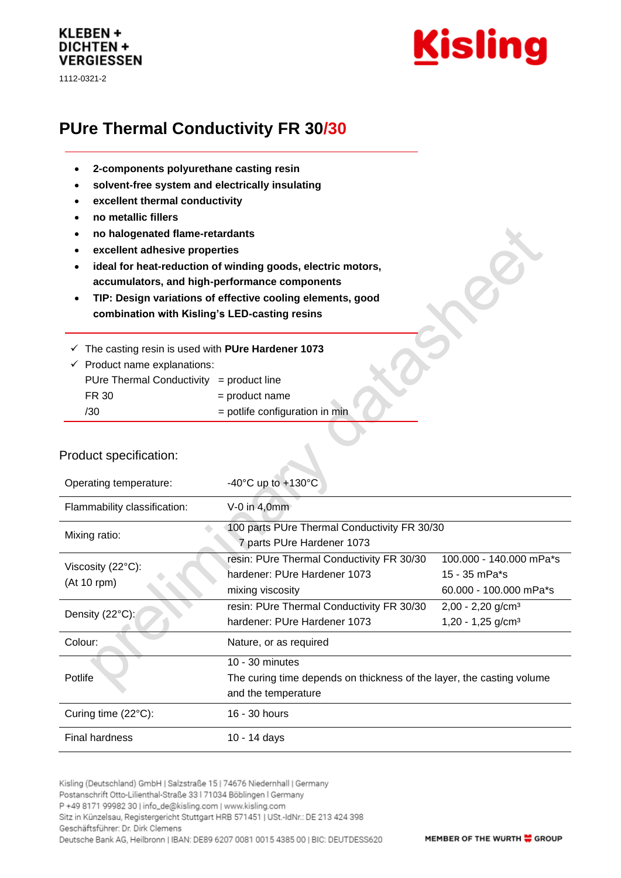# KLEBEN + **DICHTEN + VERGIESSEN**

1112-0321-2



# **PUre Thermal Conductivity FR 30/30**

- **2-components polyurethane casting resin**
- **solvent-free system and electrically insulating**
- **excellent thermal conductivity**
- **no metallic fillers**
- **no halogenated flame-retardants**
- **excellent adhesive properties**
- **ideal for heat-reduction of winding goods, electric motors, accumulators, and high-performance components**
- **TIP: Design variations of effective cooling elements, good combination with Kisling's LED-casting resins**
- ✓ The casting resin is used with **PUre Hardener 1073**

| $\checkmark$ Product name explanations:  |                                  |  |
|------------------------------------------|----------------------------------|--|
| PUre Thermal Conductivity = product line |                                  |  |
| FR 30                                    | $=$ product name                 |  |
| /30                                      | $=$ potlife configuration in min |  |

#### Product specification:

| Operating temperature:                     | -40 $^{\circ}$ C up to +130 $^{\circ}$ C                                                                          |                                                                    |  |
|--------------------------------------------|-------------------------------------------------------------------------------------------------------------------|--------------------------------------------------------------------|--|
| Flammability classification:               | $V-0$ in 4,0mm                                                                                                    |                                                                    |  |
| Mixing ratio:                              | 100 parts PUre Thermal Conductivity FR 30/30<br>7 parts PUre Hardener 1073                                        |                                                                    |  |
| Viscosity $(22^{\circ}C)$ :<br>(At 10 rpm) | resin: PUre Thermal Conductivity FR 30/30<br>hardener: PUre Hardener 1073<br>mixing viscosity                     | 100.000 - 140.000 mPa*s<br>15 - 35 mPa*s<br>60.000 - 100.000 mPa*s |  |
| Density (22°C):                            | resin: PUre Thermal Conductivity FR 30/30<br>hardener: PUre Hardener 1073                                         | $2,00 - 2,20$ g/cm <sup>3</sup><br>$1,20 - 1,25$ g/cm <sup>3</sup> |  |
| Colour:                                    | Nature, or as required                                                                                            |                                                                    |  |
| Potlife                                    | $10 - 30$ minutes<br>The curing time depends on thickness of the layer, the casting volume<br>and the temperature |                                                                    |  |
| Curing time $(22^{\circ}C)$ :              | 16 - 30 hours                                                                                                     |                                                                    |  |
| <b>Final hardness</b>                      | 10 - 14 days                                                                                                      |                                                                    |  |

Kisling (Deutschland) GmbH | Salzstraße 15 | 74676 Niedernhall | Germany Postanschrift Otto-Lilienthal-Straße 33 | 71034 Böblingen | Germany P +49 8171 99982 30 | info\_de@kisling.com | www.kisling.com Sitz in Künzelsau, Registergericht Stuttgart HRB 571451 | USt.-IdNr.: DE 213 424 398 Geschäftsführer: Dr. Dirk Clemens Deutsche Bank AG, Heilbronn | IBAN: DE89 6207 0081 0015 4385 00 | BIC: DEUTDESS620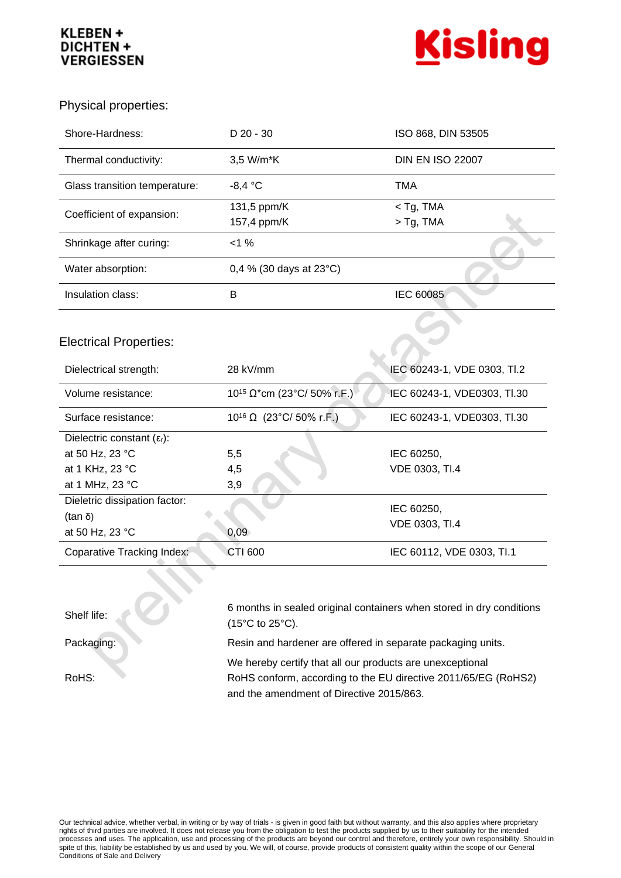# **KLEBEN + DICHTEN + VERGIESSEN**



Physical properties:

| Shore-Hardness:                        | $D$ 20 - 30                       | ISO 868, DIN 53505          |
|----------------------------------------|-----------------------------------|-----------------------------|
| Thermal conductivity:                  | 3,5 W/m*K                         | <b>DIN EN ISO 22007</b>     |
| Glass transition temperature:          | $-8,4 °C$                         | <b>TMA</b>                  |
| Coefficient of expansion:              | 131,5 ppm/K<br>157,4 ppm/K        | $<$ Tg, TMA<br>$>$ Tg, TMA  |
| Shrinkage after curing:                | $< 1 \%$                          |                             |
| Water absorption:                      | 0,4 % (30 days at $23^{\circ}$ C) |                             |
| Insulation class:                      | B                                 | IEC 60085                   |
|                                        |                                   |                             |
| <b>Electrical Properties:</b>          |                                   |                             |
|                                        |                                   |                             |
| Dielectrical strength:                 | 28 kV/mm                          | IEC 60243-1, VDE 0303, TI.2 |
| Volume resistance:                     | $10^{15}$ Ω*cm (23°C/ 50% r.F.)   | IEC 60243-1, VDE0303, TI.30 |
| Surface resistance:                    | $10^{16}$ Ω (23°C/ 50% r.F.)      | IEC 60243-1, VDE0303, TI.30 |
| Dielectric constant $(\epsilon_{r})$ : |                                   |                             |
| at 50 Hz, 23 °C                        | 5,5                               | IEC 60250,                  |
| at 1 KHz, 23 °C                        | 4,5                               | VDE 0303, TI.4              |
| at 1 MHz, 23 °C                        | 3,9                               |                             |
| Dieletric dissipation factor:          |                                   |                             |
| (tan δ)                                |                                   | IEC 60250,                  |
| at 50 Hz, 23 °C                        | 0,09                              | VDE 0303, TI.4              |

Shelf life:

RoHS:

6 months in sealed original containers when stored in dry conditions (15°C to 25°C).

Packaging: Resin and hardener are offered in separate packaging units.

We hereby certify that all our products are unexceptional RoHS conform, according to the EU directive 2011/65/EG (RoHS2) and the amendment of Directive 2015/863.

Our technical advice, whether verbal, in writing or by way of trials - is given in good faith but without warranty, and this also applies where proprietary rights of third parties are involved. It does not release you from the obligation to test the products supplied by us to their suitability for the intended processes and uses. The application, use and processing of the products are beyond our control and therefore, entirely your own responsibility. Should in spite of this, liability be established by us and used by you. We will, of course, provide products of consistent quality within the scope of our General Conditions of Sale and Delivery